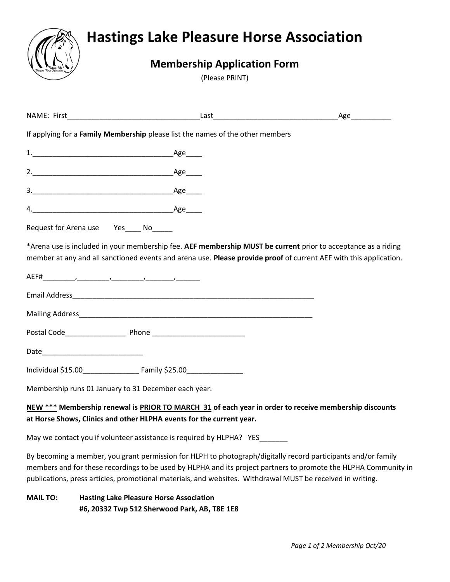

## **Hastings Lake Pleasure Horse Association**

## **Membership Application Form**

(Please PRINT)

|                 |                                                                                                                                                                                                                                                                                                                                                |  | Age___________ |
|-----------------|------------------------------------------------------------------------------------------------------------------------------------------------------------------------------------------------------------------------------------------------------------------------------------------------------------------------------------------------|--|----------------|
|                 | If applying for a Family Membership please list the names of the other members                                                                                                                                                                                                                                                                 |  |                |
|                 |                                                                                                                                                                                                                                                                                                                                                |  |                |
|                 |                                                                                                                                                                                                                                                                                                                                                |  |                |
|                 |                                                                                                                                                                                                                                                                                                                                                |  |                |
|                 |                                                                                                                                                                                                                                                                                                                                                |  |                |
|                 | Request for Arena use Yes____ No_____                                                                                                                                                                                                                                                                                                          |  |                |
|                 | *Arena use is included in your membership fee. AEF membership MUST be current prior to acceptance as a riding<br>member at any and all sanctioned events and arena use. Please provide proof of current AEF with this application.                                                                                                             |  |                |
|                 |                                                                                                                                                                                                                                                                                                                                                |  |                |
|                 | Email Address and the contract of the contract of the contract of the contract of the contract of the contract of the contract of the contract of the contract of the contract of the contract of the contract of the contract                                                                                                                 |  |                |
|                 |                                                                                                                                                                                                                                                                                                                                                |  |                |
|                 |                                                                                                                                                                                                                                                                                                                                                |  |                |
|                 |                                                                                                                                                                                                                                                                                                                                                |  |                |
|                 |                                                                                                                                                                                                                                                                                                                                                |  |                |
|                 | Membership runs 01 January to 31 December each year.                                                                                                                                                                                                                                                                                           |  |                |
|                 | NEW *** Membership renewal is PRIOR TO MARCH 31 of each year in order to receive membership discounts<br>at Horse Shows, Clinics and other HLPHA events for the current year.                                                                                                                                                                  |  |                |
|                 | May we contact you if volunteer assistance is required by HLPHA? YES                                                                                                                                                                                                                                                                           |  |                |
|                 | By becoming a member, you grant permission for HLPH to photograph/digitally record participants and/or family<br>members and for these recordings to be used by HLPHA and its project partners to promote the HLPHA Community in<br>publications, press articles, promotional materials, and websites. Withdrawal MUST be received in writing. |  |                |
| <b>MAIL TO:</b> | <b>Hasting Lake Pleasure Horse Association</b><br>#6, 20332 Twp 512 Sherwood Park, AB, T8E 1E8                                                                                                                                                                                                                                                 |  |                |